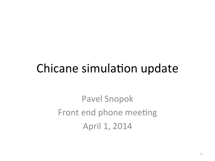### Chicane simulation update

Pavel Snopok Front end phone meeting April 1, 2014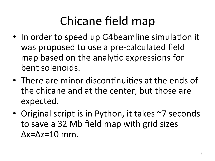# Chicane field map

- In order to speed up G4beamline simulation it was proposed to use a pre-calculated field map based on the analytic expressions for bent solenoids.
- There are minor discontinuities at the ends of the chicane and at the center, but those are expected.
- Original script is in Python, it takes ~7 seconds to save a 32 Mb field map with grid sizes  $\Delta x = \Delta z = 10$  mm.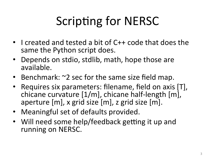# Scripting for NERSC

- I created and tested a bit of C++ code that does the same the Python script does.
- Depends on stdio, stdlib, math, hope those are available.
- Benchmark:  $\sim$ 2 sec for the same size field map.
- Requires six parameters: filename, field on axis [T], chicane curvature  $[1/m]$ , chicane half-length  $[m]$ , aperture  $[m]$ , x grid size  $[m]$ , z grid size  $[m]$ .
- Meaningful set of defaults provided.
- Will need some help/feedback getting it up and running on NERSC.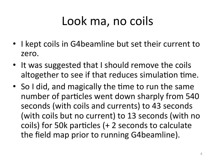# Look ma, no coils

- I kept coils in G4beamline but set their current to zero.
- It was suggested that I should remove the coils altogether to see if that reduces simulation time.
- So I did, and magically the time to run the same number of particles went down sharply from 540 seconds (with coils and currents) to 43 seconds (with coils but no current) to 13 seconds (with no coils) for 50k particles  $(+)$  2 seconds to calculate the field map prior to running G4beamline).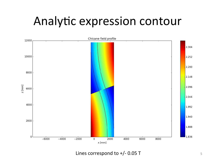### Analytic expression contour



Lines correspond to +/- 0.05 T